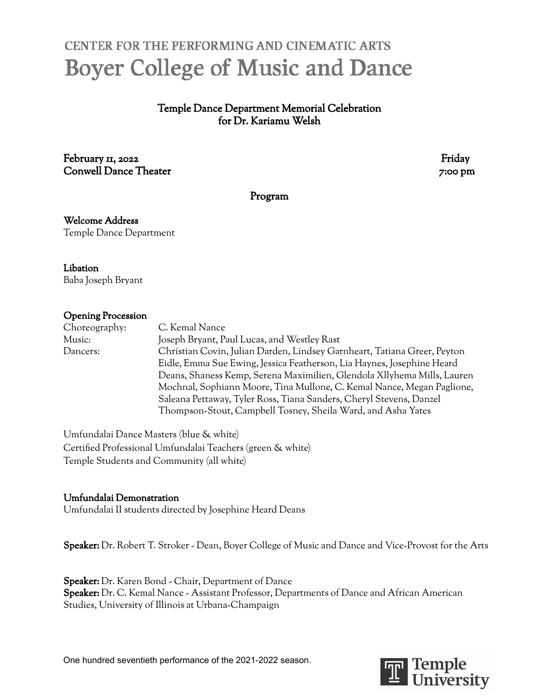# **CENTER FOR THE PERFORMING AND CINEMATIC ARTS Boyer College of Music and Dance**

Temple Dance Department Memorial Celebration for Dr. Kariamu Welsh

February 11, 2022 **Friday** Conwell Dance Theater 7:00 pm

Program

Welcome Address Temple Dance Department

Libation Baba Joseph Bryant

#### Opening Procession

Choreography: C. Kemal Nance Music: Joseph Bryant, Paul Lucas, and Westley Rast Dancers: Christian Covin, Julian Darden, Lindsey Garnheart, Tatiana Greer, Peyton Eidle, Emma Sue Ewing, Jessica Featherson, Lia Haynes, Josephine Heard Deans, Shaness Kemp, Serena Maximilien, Glendola Xllyhema Mills, Lauren Mochnal, Sophiann Moore, Tina Mullone, C. Kemal Nance, Megan Paglione, Saleana Pettaway, Tyler Ross, Tiana Sanders, Cheryl Stevens, Danzel Thompson-Stout, Campbell Tosney, Sheila Ward, and Asha Yates

Umfundalai Dance Masters (blue & white) Certified Professional Umfundalai Teachers (green & white) Temple Students and Community (all white)

### Umfundalai Demonstration

Umfundalai II students directed by Josephine Heard Deans

Speaker: Dr. Robert T. Stroker - Dean, Boyer College of Music and Dance and Vice-Provost for the Arts

Speaker: Dr. Karen Bond - Chair, Department of Dance Speaker: Dr. C. Kemal Nance - Assistant Professor, Departments of Dance and African American Studies, University of Illinois at Urbana-Champaign

One hundred seventieth performance of the 2021-2022 season.

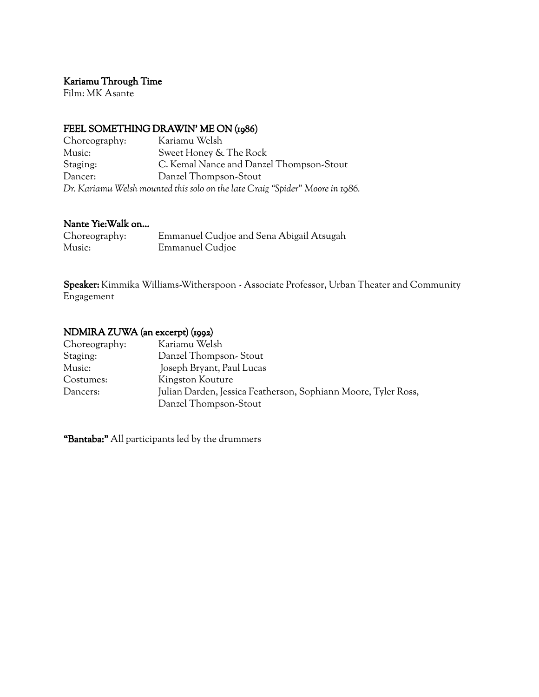## Kariamu Through Time

Film: MK Asante

#### FEEL SOMETHING DRAWIN' ME ON (1986)

| Choreography: | Kariamu Welsh                                                                 |
|---------------|-------------------------------------------------------------------------------|
| Music:        | Sweet Honey & The Rock                                                        |
| Staging:      | C. Kemal Nance and Danzel Thompson-Stout                                      |
| Dancer:       | Danzel Thompson-Stout                                                         |
|               | Dr. Kariamu Welsh mounted this solo on the late Craig "Spider" Moore in 1986. |

## Nante Yie:Walk on…

| Choreography: | Emmanuel Cudjoe and Sena Abigail Atsugah |
|---------------|------------------------------------------|
| Music:        | Emmanuel Cudjoe                          |

Speaker: Kimmika Williams-Witherspoon - Associate Professor, Urban Theater and Community Engagement

## NDMIRA ZUWA (an excerpt) (1992)

| Choreography: | Kariamu Welsh                                                  |
|---------------|----------------------------------------------------------------|
| Staging:      | Danzel Thompson-Stout                                          |
| Music:        | Joseph Bryant, Paul Lucas                                      |
| Costumes:     | Kingston Kouture                                               |
| Dancers:      | Julian Darden, Jessica Featherson, Sophiann Moore, Tyler Ross, |
|               | Danzel Thompson-Stout                                          |

"Bantaba:" All participants led by the drummers